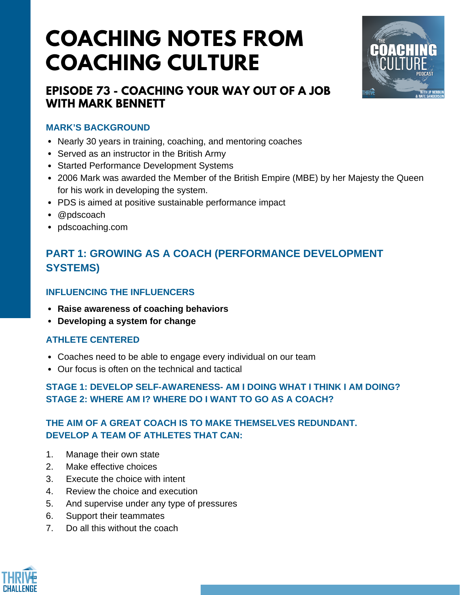# **COACHING NOTES FROM COACHING CULTURE**



### **EPISODE 73 - COACHING YOUR WAY OUT OF A JOB WITH MARK BENNETT**

#### **MARK'S BACKGROUND**

- Nearly 30 years in training, coaching, and mentoring coaches
- Served as an instructor in the British Army
- Started Performance Development Systems
- 2006 Mark was awarded the Member of the British Empire (MBE) by her Majesty the Queen for his work in developing the system.
- PDS is aimed at positive sustainable performance impact
- @pdscoach
- pdscoaching.com

## **PART 1: GROWING AS A COACH (PERFORMANCE DEVELOPMENT SYSTEMS)**

#### **INFLUENCING THE INFLUENCERS**

- **Raise awareness of coaching behaviors**
- **Developing a system for change**

#### **ATHLETE CENTERED**

- Coaches need to be able to engage every individual on our team
- Our focus is often on the technical and tactical

#### **STAGE 1: DEVELOP SELF-AWARENESS- AM I DOING WHAT I THINK I AM DOING? STAGE 2: WHERE AM I? WHERE DO I WANT TO GO AS A COACH?**

#### **THE AIM OF A GREAT COACH IS TO MAKE THEMSELVES REDUNDANT. DEVELOP A TEAM OF ATHLETES THAT CAN:**

- 1. Manage their own state
- 2. Make effective choices
- 3. Execute the choice with intent
- 4. Review the choice and execution
- 5. And supervise under any type of pressures
- 6. Support their teammates
- 7. Do all this without the coach